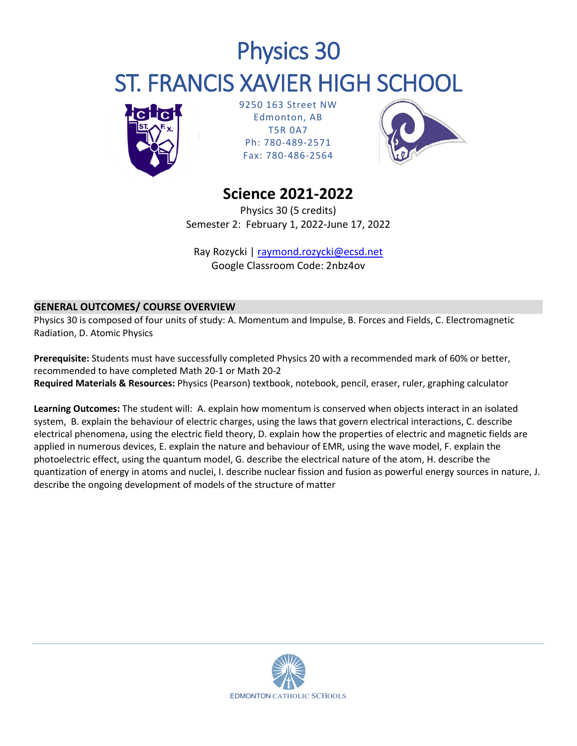# Physics 30 ST. FRANCIS XAVIER HIGH SCHOOL



9250 163 Street NW Edmonton, AB T5R 0A7 Ph: 780-489-2571 Fax: 780-486-2564



## **Science 2021-2022**

Physics 30 (5 credits) Semester 2: February 1, 2022-June 17, 2022

Ray Rozycki | [raymond.rozycki@ecsd.net](mailto:raymond.rozycki@ecsd.net) Google Classroom Code: 2nbz4ov

### **GENERAL OUTCOMES/ COURSE OVERVIEW**

Physics 30 is composed of four units of study: A. Momentum and Impulse, B. Forces and Fields, C. Electromagnetic Radiation, D. Atomic Physics

**Prerequisite:** Students must have successfully completed Physics 20 with a recommended mark of 60% or better, recommended to have completed Math 20-1 or Math 20-2 **Required Materials & Resources:** Physics (Pearson) textbook, notebook, pencil, eraser, ruler, graphing calculator

**Learning Outcomes:** The student will: A. explain how momentum is conserved when objects interact in an isolated system, B. explain the behaviour of electric charges, using the laws that govern electrical interactions, C. describe electrical phenomena, using the electric field theory, D. explain how the properties of electric and magnetic fields are applied in numerous devices, E. explain the nature and behaviour of EMR, using the wave model, F. explain the photoelectric effect, using the quantum model, G. describe the electrical nature of the atom, H. describe the quantization of energy in atoms and nuclei, I. describe nuclear fission and fusion as powerful energy sources in nature, J. describe the ongoing development of models of the structure of matter

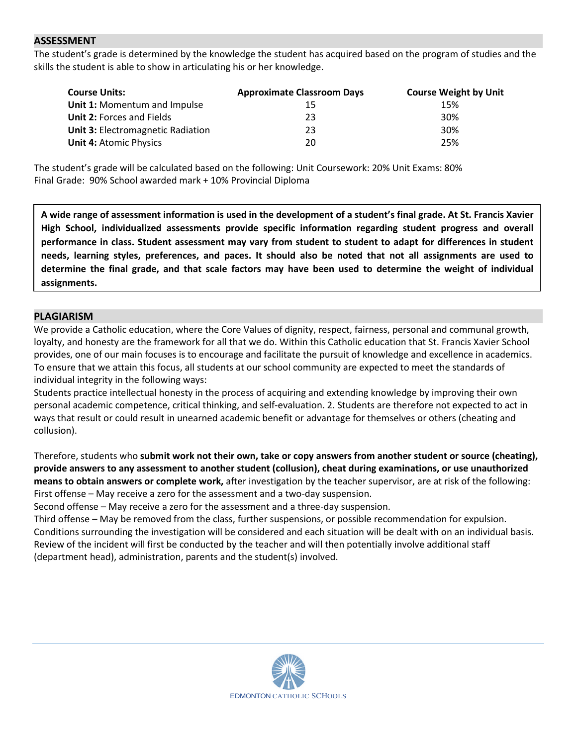#### **ASSESSMENT**

The student's grade is determined by the knowledge the student has acquired based on the program of studies and the skills the student is able to show in articulating his or her knowledge.

| <b>Course Units:</b>                     | <b>Approximate Classroom Days</b> | <b>Course Weight by Unit</b> |
|------------------------------------------|-----------------------------------|------------------------------|
| <b>Unit 1: Momentum and Impulse</b>      | 15                                | 15%                          |
| <b>Unit 2: Forces and Fields</b>         | 23                                | 30%                          |
| <b>Unit 3: Electromagnetic Radiation</b> | 23                                | 30%                          |
| <b>Unit 4: Atomic Physics</b>            | 20                                | 25%                          |

The student's grade will be calculated based on the following: Unit Coursework: 20% Unit Exams: 80% Final Grade: 90% School awarded mark + 10% Provincial Diploma

**A wide range of assessment information is used in the development of a student's final grade. At St. Francis Xavier High School, individualized assessments provide specific information regarding student progress and overall performance in class. Student assessment may vary from student to student to adapt for differences in student needs, learning styles, preferences, and paces. It should also be noted that not all assignments are used to determine the final grade, and that scale factors may have been used to determine the weight of individual assignments.**

#### **PLAGIARISM**

We provide a Catholic education, where the Core Values of dignity, respect, fairness, personal and communal growth, loyalty, and honesty are the framework for all that we do. Within this Catholic education that St. Francis Xavier School provides, one of our main focuses is to encourage and facilitate the pursuit of knowledge and excellence in academics. To ensure that we attain this focus, all students at our school community are expected to meet the standards of individual integrity in the following ways:

Students practice intellectual honesty in the process of acquiring and extending knowledge by improving their own personal academic competence, critical thinking, and self-evaluation. 2. Students are therefore not expected to act in ways that result or could result in unearned academic benefit or advantage for themselves or others (cheating and collusion).

Therefore, students who **submit work not their own, take or copy answers from another student or source (cheating), provide answers to any assessment to another student (collusion), cheat during examinations, or use unauthorized means to obtain answers or complete work,** after investigation by the teacher supervisor, are at risk of the following: First offense – May receive a zero for the assessment and a two-day suspension.

Second offense – May receive a zero for the assessment and a three-day suspension.

Third offense – May be removed from the class, further suspensions, or possible recommendation for expulsion. Conditions surrounding the investigation will be considered and each situation will be dealt with on an individual basis. Review of the incident will first be conducted by the teacher and will then potentially involve additional staff (department head), administration, parents and the student(s) involved.